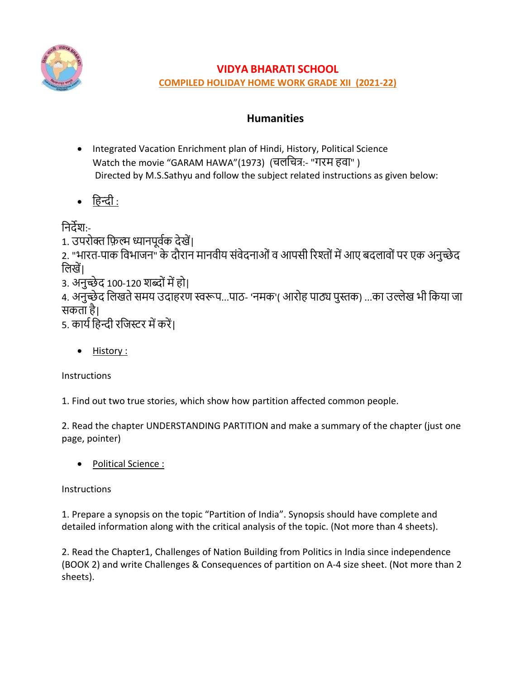

# **VIDYA BHARATI SCHOOL**

**COMPILED HOLIDAY HOME WORK GRADE XII (2021-22)**

# **Humanities**

- Integrated Vacation Enrichment plan of Hindi, History, Political Science Watch the movie "GARAM HAWA"(1973) (चलचचत्र:- "गरम हवा" ) Directed by M.S.Sathyu and follow the subject related instructions as given below:
- चहन्दी :

चिर्देश:-

1. उपरोक्त फ़िल्म ध्यानपूर्वक देखें।

2. "भारत-पाक चवभाजि" के र्दौराि मािवीय संवेर्दिाओंव आपसी ररश्ोंमेंआए बर्दलावोंपर एक अिुच्छे र्द चलखें|

3. अनुच्छेद 100-120 शब्दों में हो।

4. अनुच्छेद लिखते समय उदाहरण स्वरूप...पाठ- 'नमक'( आरोह पाठ्य पुस्तक) ...का उल्लेख भी किया जा सकता है|

5. कार्य हिन्दी रजिस्टर में करें।

• History :

**Instructions** 

1. Find out two true stories, which show how partition affected common people.

2. Read the chapter UNDERSTANDING PARTITION and make a summary of the chapter (just one page, pointer)

• Political Science :

**Instructions** 

1. Prepare a synopsis on the topic "Partition of India". Synopsis should have complete and detailed information along with the critical analysis of the topic. (Not more than 4 sheets).

2. Read the Chapter1, Challenges of Nation Building from Politics in India since independence (BOOK 2) and write Challenges & Consequences of partition on A-4 size sheet. (Not more than 2 sheets).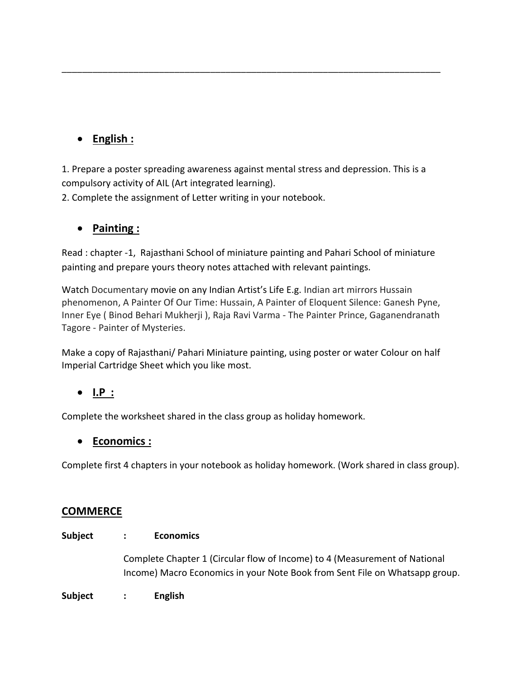# • **English :**

1. Prepare a poster spreading awareness against mental stress and depression. This is a compulsory activity of AIL (Art integrated learning).

\_\_\_\_\_\_\_\_\_\_\_\_\_\_\_\_\_\_\_\_\_\_\_\_\_\_\_\_\_\_\_\_\_\_\_\_\_\_\_\_\_\_\_\_\_\_\_\_\_\_\_\_\_\_\_\_\_\_\_\_\_\_\_\_\_\_\_\_\_\_\_\_\_\_

2. Complete the assignment of Letter writing in your notebook.

# • **Painting :**

Read : chapter -1, Rajasthani School of miniature painting and Pahari School of miniature painting and prepare yours theory notes attached with relevant paintings.

Watch Documentary movie on any Indian Artist's Life E.g. Indian art mirrors Hussain phenomenon, A Painter Of Our Time: Hussain, A Painter of Eloquent Silence: Ganesh Pyne, Inner Eye ( Binod Behari Mukherji ), Raja Ravi Varma - The Painter Prince, Gaganendranath Tagore - Painter of Mysteries.

Make a copy of Rajasthani/ Pahari Miniature painting, using poster or water Colour on half Imperial Cartridge Sheet which you like most.

# • **I.P :**

Complete the worksheet shared in the class group as holiday homework.

# • **Economics :**

Complete first 4 chapters in your notebook as holiday homework. (Work shared in class group).

# **COMMERCE**

## **Subject : Economics**

Complete Chapter 1 (Circular flow of Income) to 4 (Measurement of National Income) Macro Economics in your Note Book from Sent File on Whatsapp group.

## **Subject : English**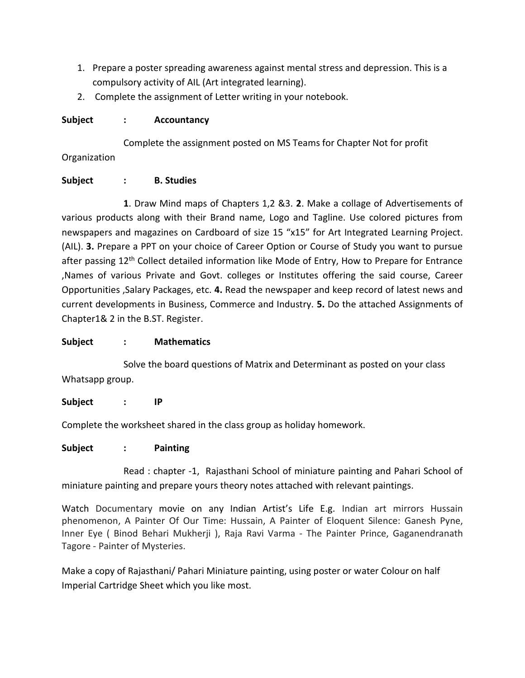- 1. Prepare a poster spreading awareness against mental stress and depression. This is a compulsory activity of AIL (Art integrated learning).
- 2. Complete the assignment of Letter writing in your notebook.

## **Subject : Accountancy**

Complete the assignment posted on MS Teams for Chapter Not for profit Organization

## **Subject : B. Studies**

**1**. Draw Mind maps of Chapters 1,2 &3. **2**. Make a collage of Advertisements of various products along with their Brand name, Logo and Tagline. Use colored pictures from newspapers and magazines on Cardboard of size 15 "x15" for Art Integrated Learning Project. (AIL). **3.** Prepare a PPT on your choice of Career Option or Course of Study you want to pursue after passing 12<sup>th</sup> Collect detailed information like Mode of Entry, How to Prepare for Entrance ,Names of various Private and Govt. colleges or Institutes offering the said course, Career Opportunities ,Salary Packages, etc. **4.** Read the newspaper and keep record of latest news and current developments in Business, Commerce and Industry. **5.** Do the attached Assignments of Chapter1& 2 in the B.ST. Register.

## **Subject : Mathematics**

Solve the board questions of Matrix and Determinant as posted on your class Whatsapp group.

# **Subject : IP**

Complete the worksheet shared in the class group as holiday homework.

## **Subject : Painting**

Read : chapter -1, Rajasthani School of miniature painting and Pahari School of miniature painting and prepare yours theory notes attached with relevant paintings.

Watch Documentary movie on any Indian Artist's Life E.g. Indian art mirrors Hussain phenomenon, A Painter Of Our Time: Hussain, A Painter of Eloquent Silence: Ganesh Pyne, Inner Eye ( Binod Behari Mukherji ), Raja Ravi Varma - The Painter Prince, Gaganendranath Tagore - Painter of Mysteries.

Make a copy of Rajasthani/ Pahari Miniature painting, using poster or water Colour on half Imperial Cartridge Sheet which you like most.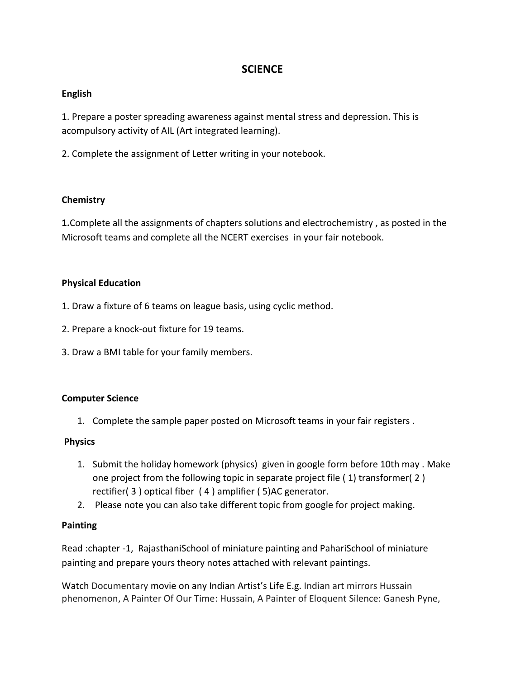# **SCIENCE**

### **English**

1. Prepare a poster spreading awareness against mental stress and depression. This is acompulsory activity of AIL (Art integrated learning).

2. Complete the assignment of Letter writing in your notebook.

### **Chemistry**

**1.**Complete all the assignments of chapters solutions and electrochemistry , as posted in the Microsoft teams and complete all the NCERT exercises in your fair notebook.

### **Physical Education**

- 1. Draw a fixture of 6 teams on league basis, using cyclic method.
- 2. Prepare a knock-out fixture for 19 teams.
- 3. Draw a BMI table for your family members.

#### **Computer Science**

1. Complete the sample paper posted on Microsoft teams in your fair registers .

#### **Physics**

- 1. Submit the holiday homework (physics) given in google form before 10th may . Make one project from the following topic in separate project file ( 1) transformer( 2 ) rectifier( 3 ) optical fiber ( 4 ) amplifier ( 5)AC generator.
- 2. Please note you can also take different topic from google for project making.

#### **Painting**

Read :chapter -1, RajasthaniSchool of miniature painting and PahariSchool of miniature painting and prepare yours theory notes attached with relevant paintings.

Watch Documentary movie on any Indian Artist's Life E.g. Indian art mirrors Hussain phenomenon, A Painter Of Our Time: Hussain, A Painter of Eloquent Silence: Ganesh Pyne,